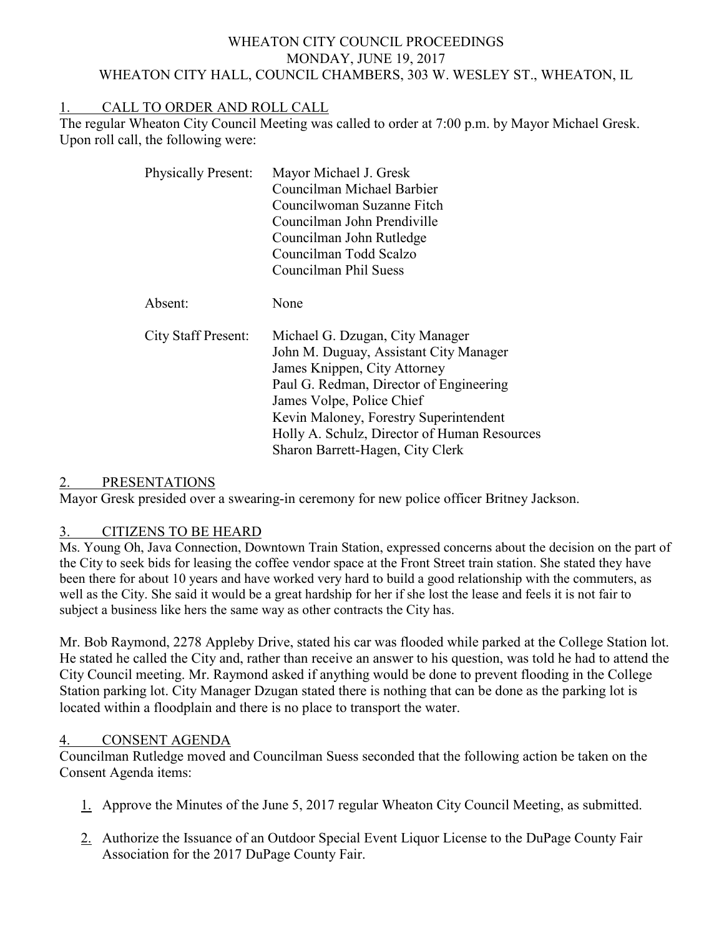### WHEATON CITY COUNCIL PROCEEDINGS MONDAY, JUNE 19, 2017 WHEATON CITY HALL, COUNCIL CHAMBERS, 303 W. WESLEY ST., WHEATON, IL

# 1. CALL TO ORDER AND ROLL CALL

The regular Wheaton City Council Meeting was called to order at 7:00 p.m. by Mayor Michael Gresk. Upon roll call, the following were:

| <b>Physically Present:</b> | Mayor Michael J. Gresk<br>Councilman Michael Barbier<br>Councilwoman Suzanne Fitch<br>Councilman John Prendiville<br>Councilman John Rutledge<br>Councilman Todd Scalzo<br>Councilman Phil Suess                                                                                                                |
|----------------------------|-----------------------------------------------------------------------------------------------------------------------------------------------------------------------------------------------------------------------------------------------------------------------------------------------------------------|
| Absent:                    | None                                                                                                                                                                                                                                                                                                            |
| <b>City Staff Present:</b> | Michael G. Dzugan, City Manager<br>John M. Duguay, Assistant City Manager<br>James Knippen, City Attorney<br>Paul G. Redman, Director of Engineering<br>James Volpe, Police Chief<br>Kevin Maloney, Forestry Superintendent<br>Holly A. Schulz, Director of Human Resources<br>Sharon Barrett-Hagen, City Clerk |

#### 2. PRESENTATIONS

Mayor Gresk presided over a swearing-in ceremony for new police officer Britney Jackson.

#### 3. CITIZENS TO BE HEARD

Ms. Young Oh, Java Connection, Downtown Train Station, expressed concerns about the decision on the part of the City to seek bids for leasing the coffee vendor space at the Front Street train station. She stated they have been there for about 10 years and have worked very hard to build a good relationship with the commuters, as well as the City. She said it would be a great hardship for her if she lost the lease and feels it is not fair to subject a business like hers the same way as other contracts the City has.

Mr. Bob Raymond, 2278 Appleby Drive, stated his car was flooded while parked at the College Station lot. He stated he called the City and, rather than receive an answer to his question, was told he had to attend the City Council meeting. Mr. Raymond asked if anything would be done to prevent flooding in the College Station parking lot. City Manager Dzugan stated there is nothing that can be done as the parking lot is located within a floodplain and there is no place to transport the water.

## 4. CONSENT AGENDA

Councilman Rutledge moved and Councilman Suess seconded that the following action be taken on the Consent Agenda items:

- 1. Approve the Minutes of the June 5, 2017 regular Wheaton City Council Meeting, as submitted.
- 2. Authorize the Issuance of an Outdoor Special Event Liquor License to the DuPage County Fair Association for the 2017 DuPage County Fair.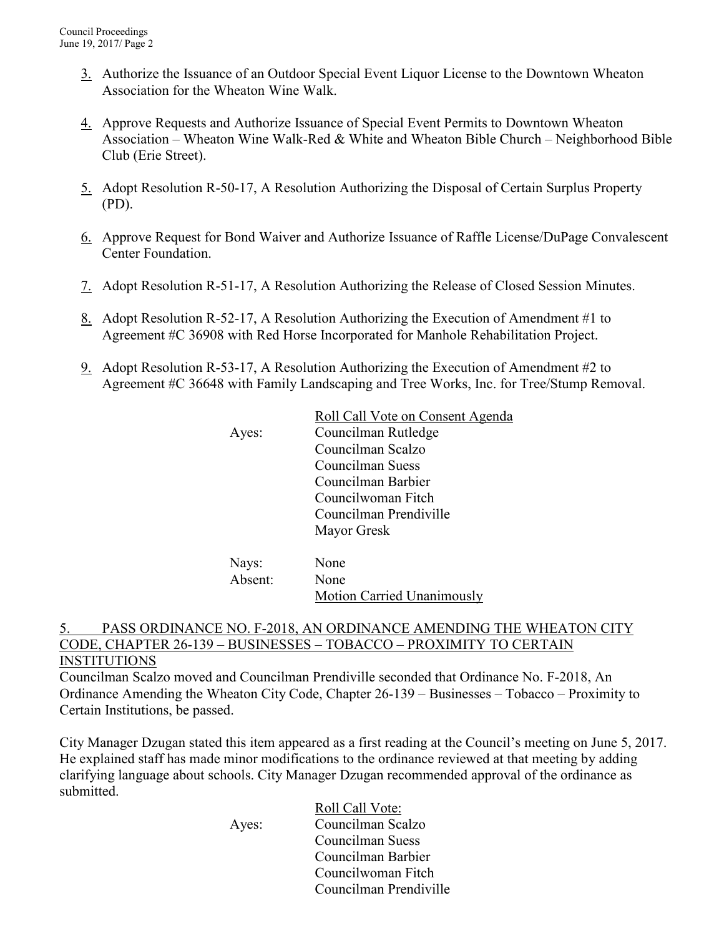- 3. Authorize the Issuance of an Outdoor Special Event Liquor License to the Downtown Wheaton Association for the Wheaton Wine Walk.
- 4. Approve Requests and Authorize Issuance of Special Event Permits to Downtown Wheaton Association – Wheaton Wine Walk-Red & White and Wheaton Bible Church – Neighborhood Bible Club (Erie Street).
- 5. Adopt Resolution R-50-17, A Resolution Authorizing the Disposal of Certain Surplus Property (PD).
- 6. Approve Request for Bond Waiver and Authorize Issuance of Raffle License/DuPage Convalescent Center Foundation.
- 7. Adopt Resolution R-51-17, A Resolution Authorizing the Release of Closed Session Minutes.
- 8. Adopt Resolution R-52-17, A Resolution Authorizing the Execution of Amendment #1 to Agreement #C 36908 with Red Horse Incorporated for Manhole Rehabilitation Project.
- 9. Adopt Resolution R-53-17, A Resolution Authorizing the Execution of Amendment #2 to Agreement #C 36648 with Family Landscaping and Tree Works, Inc. for Tree/Stump Removal.

|       | Roll Call Vote on Consent Agenda |
|-------|----------------------------------|
| Ayes: | Councilman Rutledge              |
|       | Councilman Scalzo                |
|       | Councilman Suess                 |
|       | Councilman Barbier               |
|       | Councilwoman Fitch               |
|       | Councilman Prendiville           |
|       | Mayor Gresk                      |
| Nays: | None                             |
|       |                                  |

| $\cdots$ $\cdots$<br>Absent: | None                              |  |
|------------------------------|-----------------------------------|--|
|                              | <b>Motion Carried Unanimously</b> |  |

### 5. PASS ORDINANCE NO. F-2018, AN ORDINANCE AMENDING THE WHEATON CITY CODE, CHAPTER 26-139 – BUSINESSES – TOBACCO – PROXIMITY TO CERTAIN INSTITUTIONS

Councilman Scalzo moved and Councilman Prendiville seconded that Ordinance No. F-2018, An Ordinance Amending the Wheaton City Code, Chapter 26-139 – Businesses – Tobacco – Proximity to Certain Institutions, be passed.

City Manager Dzugan stated this item appeared as a first reading at the Council's meeting on June 5, 2017. He explained staff has made minor modifications to the ordinance reviewed at that meeting by adding clarifying language about schools. City Manager Dzugan recommended approval of the ordinance as submitted.

 Roll Call Vote: Ayes: Councilman Scalzo Councilman Suess Councilman Barbier Councilwoman Fitch Councilman Prendiville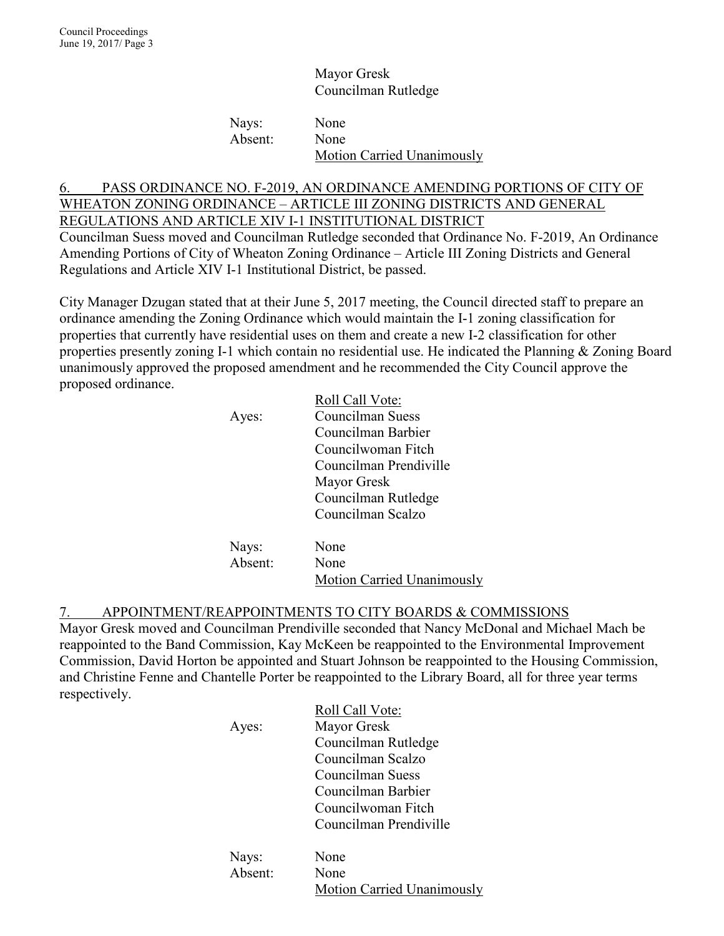Mayor Gresk Councilman Rutledge

Nays: None Absent: None Motion Carried Unanimously

## 6. PASS ORDINANCE NO. F-2019, AN ORDINANCE AMENDING PORTIONS OF CITY OF WHEATON ZONING ORDINANCE – ARTICLE III ZONING DISTRICTS AND GENERAL REGULATIONS AND ARTICLE XIV I-1 INSTITUTIONAL DISTRICT

Councilman Suess moved and Councilman Rutledge seconded that Ordinance No. F-2019, An Ordinance Amending Portions of City of Wheaton Zoning Ordinance – Article III Zoning Districts and General Regulations and Article XIV I-1 Institutional District, be passed.

City Manager Dzugan stated that at their June 5, 2017 meeting, the Council directed staff to prepare an ordinance amending the Zoning Ordinance which would maintain the I-1 zoning classification for properties that currently have residential uses on them and create a new I-2 classification for other properties presently zoning I-1 which contain no residential use. He indicated the Planning & Zoning Board unanimously approved the proposed amendment and he recommended the City Council approve the proposed ordinance.

|         | Roll Call Vote:        |
|---------|------------------------|
| Ayes:   | Councilman Suess       |
|         | Councilman Barbier     |
|         | Councilwoman Fitch     |
|         | Councilman Prendiville |
|         | Mayor Gresk            |
|         | Councilman Rutledge    |
|         | Councilman Scalzo      |
| Nays:   | None                   |
| Absent: | None                   |
|         |                        |

Motion Carried Unanimously

## 7. APPOINTMENT/REAPPOINTMENTS TO CITY BOARDS & COMMISSIONS

Mayor Gresk moved and Councilman Prendiville seconded that Nancy McDonal and Michael Mach be reappointed to the Band Commission, Kay McKeen be reappointed to the Environmental Improvement Commission, David Horton be appointed and Stuart Johnson be reappointed to the Housing Commission, and Christine Fenne and Chantelle Porter be reappointed to the Library Board, all for three year terms respectively.

| Ayes:   | Roll Call Vote:<br>Mayor Gresk<br>Councilman Rutledge<br>Councilman Scalzo<br>Councilman Suess<br>Councilman Barbier<br>Councilwoman Fitch<br>Councilman Prendiville |
|---------|----------------------------------------------------------------------------------------------------------------------------------------------------------------------|
| Nays:   | None                                                                                                                                                                 |
| Absent: | None<br><b>Motion Carried Unanimously</b>                                                                                                                            |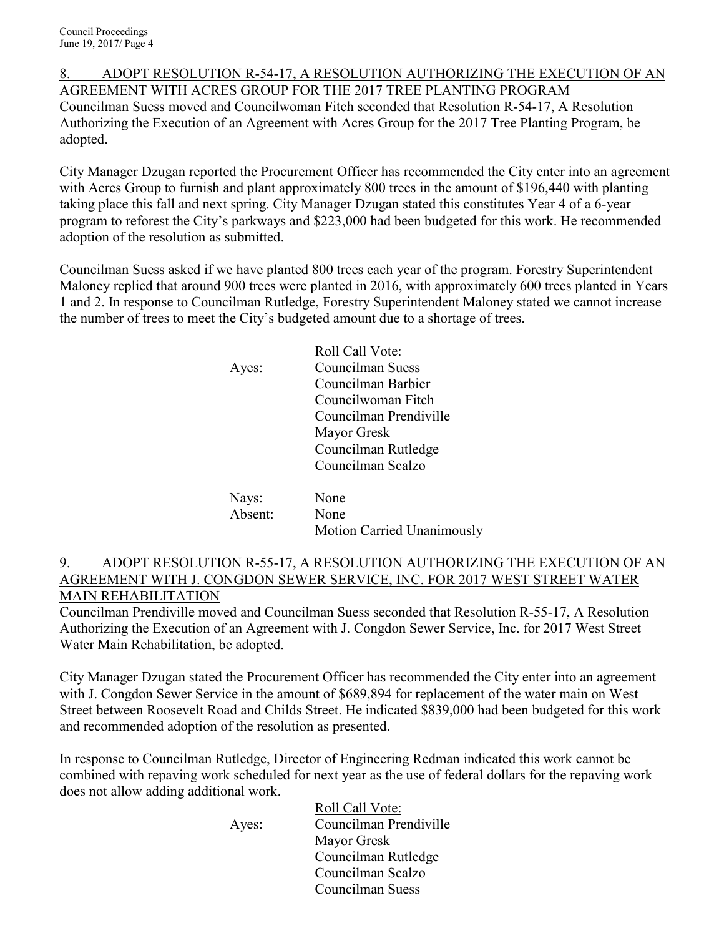8. ADOPT RESOLUTION R-54-17, A RESOLUTION AUTHORIZING THE EXECUTION OF AN AGREEMENT WITH ACRES GROUP FOR THE 2017 TREE PLANTING PROGRAM Councilman Suess moved and Councilwoman Fitch seconded that Resolution R-54-17, A Resolution Authorizing the Execution of an Agreement with Acres Group for the 2017 Tree Planting Program, be adopted.

City Manager Dzugan reported the Procurement Officer has recommended the City enter into an agreement with Acres Group to furnish and plant approximately 800 trees in the amount of \$196,440 with planting taking place this fall and next spring. City Manager Dzugan stated this constitutes Year 4 of a 6-year program to reforest the City's parkways and \$223,000 had been budgeted for this work. He recommended adoption of the resolution as submitted.

Councilman Suess asked if we have planted 800 trees each year of the program. Forestry Superintendent Maloney replied that around 900 trees were planted in 2016, with approximately 600 trees planted in Years 1 and 2. In response to Councilman Rutledge, Forestry Superintendent Maloney stated we cannot increase the number of trees to meet the City's budgeted amount due to a shortage of trees.

|         | Roll Call Vote:                   |
|---------|-----------------------------------|
| Ayes:   | Councilman Suess                  |
|         | Councilman Barbier                |
|         | Councilwoman Fitch                |
|         | Councilman Prendiville            |
|         | Mayor Gresk                       |
|         | Councilman Rutledge               |
|         | Councilman Scalzo                 |
| Nays:   | None                              |
| Absent: | None                              |
|         | <b>Motion Carried Unanimously</b> |

### 9. ADOPT RESOLUTION R-55-17, A RESOLUTION AUTHORIZING THE EXECUTION OF AN AGREEMENT WITH J. CONGDON SEWER SERVICE, INC. FOR 2017 WEST STREET WATER MAIN REHABILITATION

Councilman Prendiville moved and Councilman Suess seconded that Resolution R-55-17, A Resolution Authorizing the Execution of an Agreement with J. Congdon Sewer Service, Inc. for 2017 West Street Water Main Rehabilitation, be adopted.

City Manager Dzugan stated the Procurement Officer has recommended the City enter into an agreement with J. Congdon Sewer Service in the amount of \$689,894 for replacement of the water main on West Street between Roosevelt Road and Childs Street. He indicated \$839,000 had been budgeted for this work and recommended adoption of the resolution as presented.

In response to Councilman Rutledge, Director of Engineering Redman indicated this work cannot be combined with repaving work scheduled for next year as the use of federal dollars for the repaving work does not allow adding additional work.

 Roll Call Vote: Ayes: Councilman Prendiville Mayor Gresk Councilman Rutledge Councilman Scalzo Councilman Suess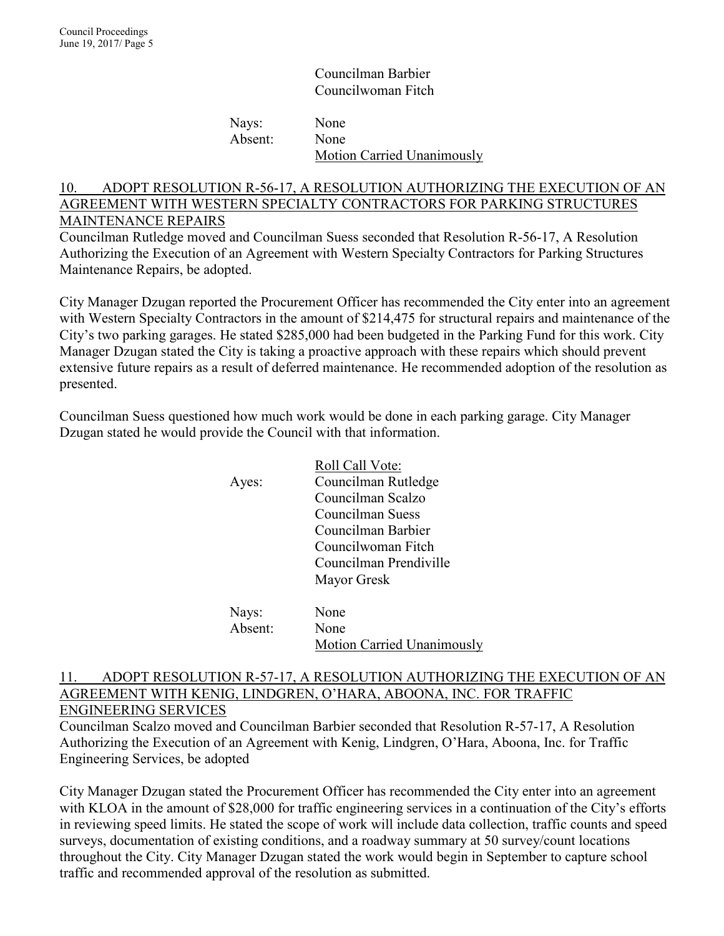Councilman Barbier Councilwoman Fitch

Nays: None Absent: None Motion Carried Unanimously

## 10. ADOPT RESOLUTION R-56-17, A RESOLUTION AUTHORIZING THE EXECUTION OF AN AGREEMENT WITH WESTERN SPECIALTY CONTRACTORS FOR PARKING STRUCTURES MAINTENANCE REPAIRS

Councilman Rutledge moved and Councilman Suess seconded that Resolution R-56-17, A Resolution Authorizing the Execution of an Agreement with Western Specialty Contractors for Parking Structures Maintenance Repairs, be adopted.

City Manager Dzugan reported the Procurement Officer has recommended the City enter into an agreement with Western Specialty Contractors in the amount of \$214,475 for structural repairs and maintenance of the City's two parking garages. He stated \$285,000 had been budgeted in the Parking Fund for this work. City Manager Dzugan stated the City is taking a proactive approach with these repairs which should prevent extensive future repairs as a result of deferred maintenance. He recommended adoption of the resolution as presented.

Councilman Suess questioned how much work would be done in each parking garage. City Manager Dzugan stated he would provide the Council with that information.

| Ayes:   | Roll Call Vote:<br>Councilman Rutledge<br>Councilman Scalzo<br>Councilman Suess<br>Councilman Barbier |
|---------|-------------------------------------------------------------------------------------------------------|
|         | Councilwoman Fitch                                                                                    |
|         | Councilman Prendiville                                                                                |
|         | Mayor Gresk                                                                                           |
| Nays:   | None                                                                                                  |
| Absent: | None                                                                                                  |
|         |                                                                                                       |

#### Motion Carried Unanimously

### 11. ADOPT RESOLUTION R-57-17, A RESOLUTION AUTHORIZING THE EXECUTION OF AN AGREEMENT WITH KENIG, LINDGREN, O'HARA, ABOONA, INC. FOR TRAFFIC ENGINEERING SERVICES

Councilman Scalzo moved and Councilman Barbier seconded that Resolution R-57-17, A Resolution Authorizing the Execution of an Agreement with Kenig, Lindgren, O'Hara, Aboona, Inc. for Traffic Engineering Services, be adopted

City Manager Dzugan stated the Procurement Officer has recommended the City enter into an agreement with KLOA in the amount of \$28,000 for traffic engineering services in a continuation of the City's efforts in reviewing speed limits. He stated the scope of work will include data collection, traffic counts and speed surveys, documentation of existing conditions, and a roadway summary at 50 survey/count locations throughout the City. City Manager Dzugan stated the work would begin in September to capture school traffic and recommended approval of the resolution as submitted.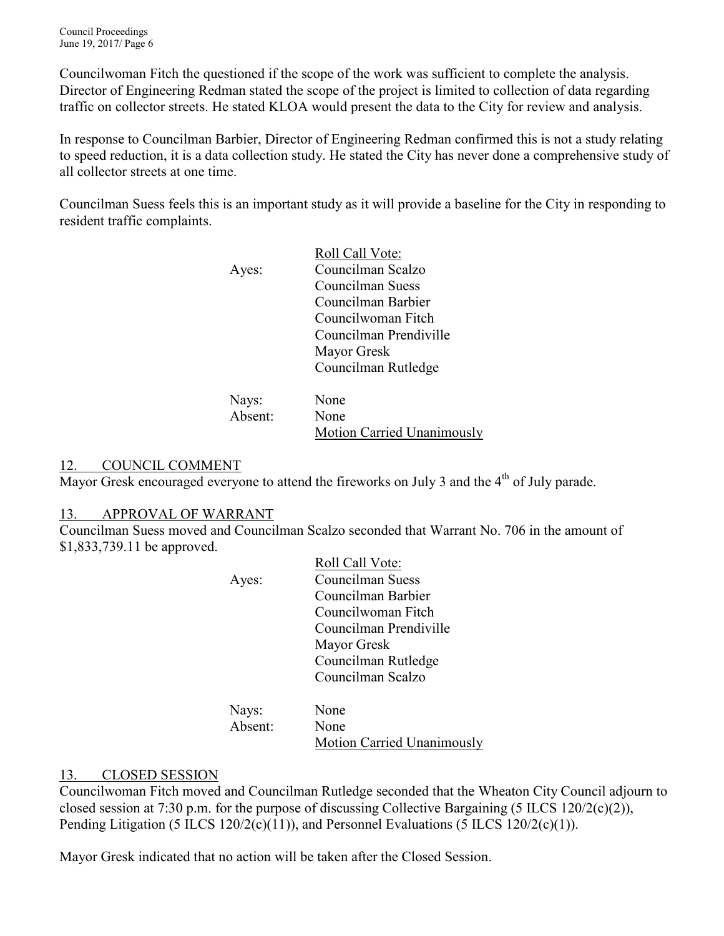Councilwoman Fitch the questioned if the scope of the work was sufficient to complete the analysis. Director of Engineering Redman stated the scope of the project is limited to collection of data regarding traffic on collector streets. He stated KLOA would present the data to the City for review and analysis.

In response to Councilman Barbier, Director of Engineering Redman confirmed this is not a study relating to speed reduction, it is a data collection study. He stated the City has never done a comprehensive study of all collector streets at one time.

Councilman Suess feels this is an important study as it will provide a baseline for the City in responding to resident traffic complaints.

|                   | Roll Call Vote:        |
|-------------------|------------------------|
| Ayes:             | Councilman Scalzo      |
|                   | Councilman Suess       |
|                   | Councilman Barbier     |
|                   | Councilwoman Fitch     |
|                   | Councilman Prendiville |
|                   | Mayor Gresk            |
|                   | Councilman Rutledge    |
|                   |                        |
| Navs <sup>.</sup> | None                   |

| Nays:   | None                       |
|---------|----------------------------|
| Absent: | None                       |
|         | Motion Carried Unanimously |

## 12. COUNCIL COMMENT

Mayor Gresk encouraged everyone to attend the fireworks on July 3 and the  $4<sup>th</sup>$  of July parade.

## 13. APPROVAL OF WARRANT

Councilman Suess moved and Councilman Scalzo seconded that Warrant No. 706 in the amount of \$1,833,739.11 be approved.

|       | Roll Call Vote:        |
|-------|------------------------|
| Ayes: | Councilman Suess       |
|       | Councilman Barbier     |
|       | Councilwoman Fitch     |
|       | Councilman Prendiville |
|       | Mayor Gresk            |
|       | Councilman Rutledge    |
|       | Councilman Scalzo      |
|       |                        |
|       |                        |

| Nays:   | None                              |
|---------|-----------------------------------|
| Absent: | None                              |
|         | <b>Motion Carried Unanimously</b> |

## 13. CLOSED SESSION

Councilwoman Fitch moved and Councilman Rutledge seconded that the Wheaton City Council adjourn to closed session at 7:30 p.m. for the purpose of discussing Collective Bargaining (5 ILCS 120/2(c)(2)), Pending Litigation (5 ILCS 120/2(c)(11)), and Personnel Evaluations (5 ILCS 120/2(c)(1)).

Mayor Gresk indicated that no action will be taken after the Closed Session.